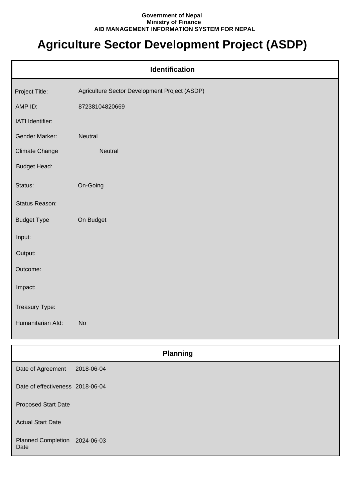## **Government of Nepal Ministry of Finance AID MANAGEMENT INFORMATION SYSTEM FOR NEPAL**

## **Agriculture Sector Development Project (ASDP)**

| <b>Identification</b> |                                               |  |
|-----------------------|-----------------------------------------------|--|
| Project Title:        | Agriculture Sector Development Project (ASDP) |  |
| AMP ID:               | 87238104820669                                |  |
| IATI Identifier:      |                                               |  |
| Gender Marker:        | Neutral                                       |  |
| <b>Climate Change</b> | Neutral                                       |  |
| <b>Budget Head:</b>   |                                               |  |
| Status:               | On-Going                                      |  |
| Status Reason:        |                                               |  |
| <b>Budget Type</b>    | On Budget                                     |  |
| Input:                |                                               |  |
| Output:               |                                               |  |
| Outcome:              |                                               |  |
| Impact:               |                                               |  |
| Treasury Type:        |                                               |  |
| Humanitarian Ald:     | <b>No</b>                                     |  |
|                       |                                               |  |

|                                       | <b>Planning</b> |  |
|---------------------------------------|-----------------|--|
| Date of Agreement                     | 2018-06-04      |  |
| Date of effectiveness 2018-06-04      |                 |  |
| <b>Proposed Start Date</b>            |                 |  |
| <b>Actual Start Date</b>              |                 |  |
| Planned Completion 2024-06-03<br>Date |                 |  |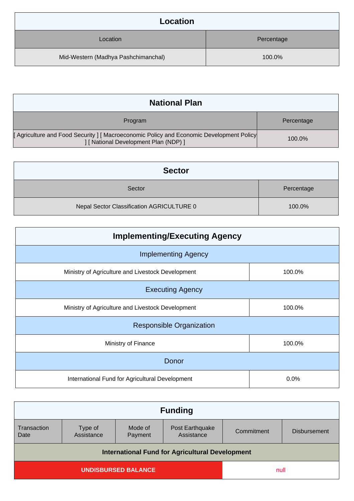| Location                            |            |
|-------------------------------------|------------|
| Location                            | Percentage |
| Mid-Western (Madhya Pashchimanchal) | 100.0%     |

| <b>National Plan</b>                                                                                                            |            |
|---------------------------------------------------------------------------------------------------------------------------------|------------|
| Program                                                                                                                         | Percentage |
| [Agriculture and Food Security ] [Macroeconomic Policy and Economic Development Policy<br>] [ National Development Plan (NDP) ] | 100.0%     |

| <b>Sector</b>                             |            |
|-------------------------------------------|------------|
| Sector                                    | Percentage |
| Nepal Sector Classification AGRICULTURE 0 | 100.0%     |

| <b>Implementing/Executing Agency</b>              |        |  |
|---------------------------------------------------|--------|--|
| <b>Implementing Agency</b>                        |        |  |
| Ministry of Agriculture and Livestock Development | 100.0% |  |
| <b>Executing Agency</b>                           |        |  |
| Ministry of Agriculture and Livestock Development | 100.0% |  |
| <b>Responsible Organization</b>                   |        |  |
| Ministry of Finance<br>100.0%                     |        |  |
| Donor                                             |        |  |
| International Fund for Agricultural Development   | 0.0%   |  |

| <b>Funding</b>                                         |                       |                    |                               |            |                     |
|--------------------------------------------------------|-----------------------|--------------------|-------------------------------|------------|---------------------|
| Transaction<br>Date                                    | Type of<br>Assistance | Mode of<br>Payment | Post Earthquake<br>Assistance | Commitment | <b>Disbursement</b> |
| <b>International Fund for Agricultural Development</b> |                       |                    |                               |            |                     |
| <b>UNDISBURSED BALANCE</b>                             |                       |                    |                               |            |                     |
| null                                                   |                       |                    |                               |            |                     |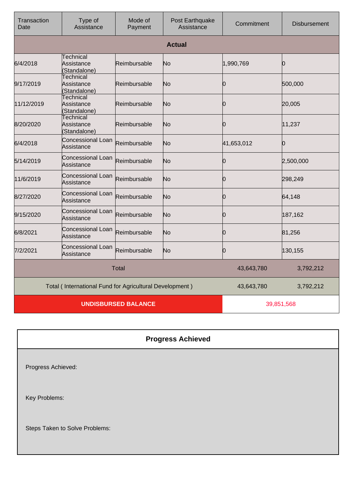| Transaction<br>Date | Type of<br>Assistance                                   | Mode of<br>Payment         | Post Earthquake<br>Assistance | Commitment | <b>Disbursement</b> |
|---------------------|---------------------------------------------------------|----------------------------|-------------------------------|------------|---------------------|
|                     |                                                         |                            | <b>Actual</b>                 |            |                     |
| 6/4/2018            | <b>Technical</b><br>Assistance<br>(Standalone)          | Reimbursable               | No                            | 1,990,769  | Ю                   |
| 9/17/2019           | <b>Technical</b><br>Assistance<br>(Standalone)          | Reimbursable               | No                            | Ю          | 500,000             |
| 11/12/2019          | <b>Technical</b><br>Assistance<br>(Standalone)          | Reimbursable               | No                            | Ю          | 20,005              |
| 8/20/2020           | <b>Technical</b><br>Assistance<br>Standalone)           | Reimbursable               | No                            | 10         | 11,237              |
| 6/4/2018            | Concessional Loan<br>Assistance                         | Reimbursable               | No                            | 41,653,012 | 0                   |
| 5/14/2019           | <b>Concessional Loan</b><br>Assistance                  | Reimbursable               | No                            | 0          | 2,500,000           |
| 11/6/2019           | Concessional Loan<br>Assistance                         | Reimbursable               | No                            | Ŋ          | 298,249             |
| 8/27/2020           | <b>Concessional Loan</b><br>Assistance                  | Reimbursable               | No                            | 0          | 64,148              |
| 9/15/2020           | Concessional Loan<br>Assistance                         | Reimbursable               | No                            | n          | 187,162             |
| 6/8/2021            | <b>Concessional Loan</b><br>Assistance                  | Reimbursable               | No                            | 0          | 81,256              |
| 7/2/2021            | Concessional Loan<br>Assistance                         | Reimbursable               | No                            | n          | 130,155             |
| <b>Total</b>        |                                                         |                            | 43,643,780                    | 3,792,212  |                     |
|                     | Total (International Fund for Agricultural Development) |                            |                               | 43,643,780 | 3,792,212           |
|                     |                                                         | <b>UNDISBURSED BALANCE</b> |                               |            | 39,851,568          |

## **Progress Achieved**

Progress Achieved:

Key Problems:

Steps Taken to Solve Problems: